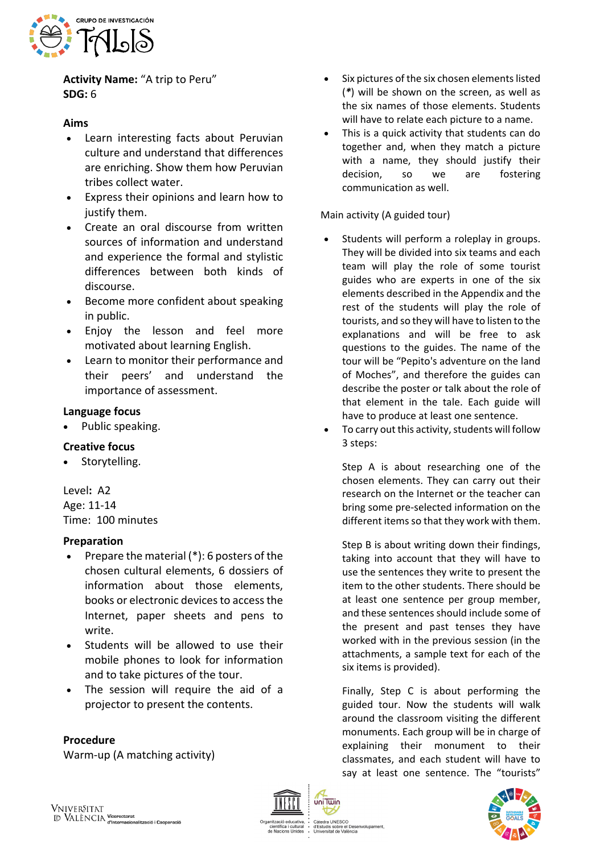

**Activity Name:** "A trip to Peru" **SDG:** 6

# **Aims**

- Learn interesting facts about Peruvian culture and understand that differences are enriching. Show them how Peruvian tribes collect water.
- Express their opinions and learn how to justify them.
- Create an oral discourse from written sources of information and understand and experience the formal and stylistic differences between both kinds of discourse.
- Become more confident about speaking in public.
- Enjoy the lesson and feel more motivated about learning English.
- Learn to monitor their performance and their peers' and understand the importance of assessment.

## **Language focus**

• Public speaking.

## **Creative focus**

• Storytelling.

Level**:** A2 Age: 11-14 Time: 100 minutes

### **Preparation**

- Prepare the material (\*): 6 posters of the chosen cultural elements, 6 dossiers of information about those elements, books or electronic devices to access the Internet, paper sheets and pens to write.
- Students will be allowed to use their mobile phones to look for information and to take pictures of the tour.
- The session will require the aid of a projector to present the contents.

## **Procedure**

Warm-up (A matching activity)

- Six pictures of the six chosen elements listed (*\**) will be shown on the screen, as well as the six names of those elements. Students will have to relate each picture to a name.
- This is a quick activity that students can do together and, when they match a picture with a name, they should justify their decision, so we are fostering communication as well.

Main activity (A guided tour)

- Students will perform a roleplay in groups. They will be divided into six teams and each team will play the role of some tourist guides who are experts in one of the six elements described in the Appendix and the rest of the students will play the role of tourists, and so they will have to listen to the explanations and will be free to ask questions to the guides. The name of the tour will be "Pepito's adventure on the land of Moches", and therefore the guides can describe the poster or talk about the role of that element in the tale. Each guide will have to produce at least one sentence.
- To carry out this activity, students will follow 3 steps:

Step A is about researching one of the chosen elements. They can carry out their research on the Internet or the teacher can bring some pre-selected information on the different items so that they work with them.

Step B is about writing down their findings, taking into account that they will have to use the sentences they write to present the item to the other students. There should be at least one sentence per group member, and these sentences should include some of the present and past tenses they have worked with in the previous session (in the attachments, a sample text for each of the six items is provided).

Finally, Step C is about performing the guided tour. Now the students will walk around the classroom visiting the different monuments. Each group will be in charge of explaining their monument to their classmates, and each student will have to say at least one sentence. The "tourists"





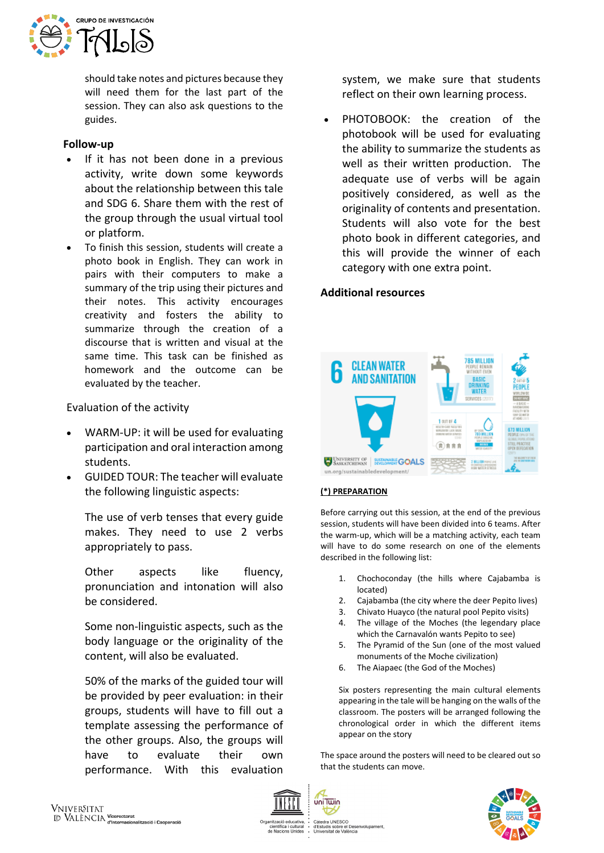

should take notes and pictures because they will need them for the last part of the session. They can also ask questions to the guides.

### **Follow-up**

- If it has not been done in a previous activity, write down some keywords about the relationship between this tale and SDG 6. Share them with the rest of the group through the usual virtual tool or platform.
- To finish this session, students will create a photo book in English. They can work in pairs with their computers to make a summary of the trip using their pictures and their notes. This activity encourages creativity and fosters the ability to summarize through the creation of a discourse that is written and visual at the same time. This task can be finished as homework and the outcome can be evaluated by the teacher.

Evaluation of the activity

- WARM-UP: it will be used for evaluating participation and oral interaction among students.
- GUIDED TOUR: The teacher will evaluate the following linguistic aspects:

The use of verb tenses that every guide makes. They need to use 2 verbs appropriately to pass.

Other aspects like fluency, pronunciation and intonation will also be considered.

Some non-linguistic aspects, such as the body language or the originality of the content, will also be evaluated.

50% of the marks of the guided tour will be provided by peer evaluation: in their groups, students will have to fill out a template assessing the performance of the other groups. Also, the groups will have to evaluate their own performance. With this evaluation

system, we make sure that students reflect on their own learning process.

PHOTOBOOK: the creation of the photobook will be used for evaluating the ability to summarize the students as well as their written production. The adequate use of verbs will be again positively considered, as well as the originality of contents and presentation. Students will also vote for the best photo book in different categories, and this will provide the winner of each category with one extra point.

## **Additional resources**



### **(\*) PREPARATION**

Before carrying out this session, at the end of the previous session, students will have been divided into 6 teams. After the warm-up, which will be a matching activity, each team will have to do some research on one of the elements described in the following list:

- 1. Chochoconday (the hills where Cajabamba is located)
- 2. Cajabamba (the city where the deer Pepito lives)
- 3. Chivato Huayco (the natural pool Pepito visits)
- 4. The village of the Moches (the legendary place which the Carnavalón wants Pepito to see)
- 5. The Pyramid of the Sun (one of the most valued monuments of the Moche civilization)
- 6. The Aiapaec (the God of the Moches)

Six posters representing the main cultural elements appearing in the tale will be hanging on the walls of the classroom. The posters will be arranged following the chronological order in which the different items appear on the story

The space around the posters will need to be cleared out so that the students can move.



uniTwin

iuis sobre el Des<br>rsitat de València

Cátedra UNESCO<br>d'Estudis sobre el Desenvolupament